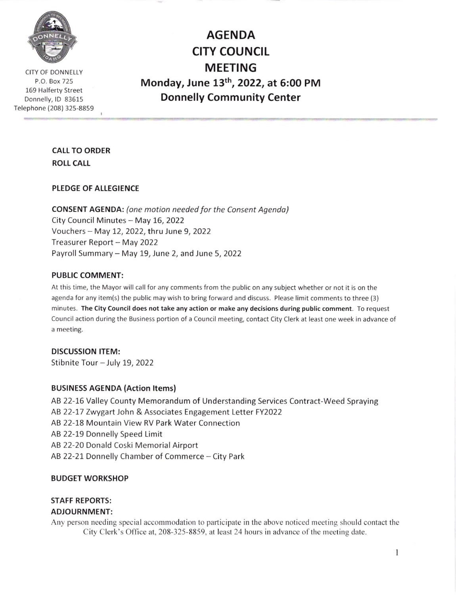

CITY OF DONNELLY P.O. Box 725 169 Halferty Street Donnelly, lD 83615 Telephone (208) 325-8859

AGENDA **CITY COUNCIL** MEETING Monday, June 13th, 2022, at 5:00 PM Donnelly Community Center

# CALL TO ORDER ROLL CALL

#### PLEDGE OF ALLEGIENCE

CONSENT AGENDA: (one motion needed for the Consent Agenda) City Council Minutes - May 16, 2022 Vouchers - May !2,2022, thru June 9, <sup>2022</sup> Treasurer Report - May 2022 Payroll Summary - May 19, June 2, and June 5, 2022

#### PUBLIC COMMENT:

At this time, the Mayor will call for any comments from the public on any subject whether or not it is on the agenda for any item(s) the public may wish to bring forward and discuss. Please limit comments to three (3) minutes. The City Council does not take any action or make any decisions during public comment. To request Council action during the Business portion of a Council meeting, contact City Clerk at least one week in advance of a meeting.

### DISCUSSION ITEM:

Stibnite Tour - July 19, 2022

#### BUSINESS AGENDA (Action ltems)

AB 22-16 Valley County Memorandum of Understanding Services Contract-Weed Spraying AB 22-17 Zwygart John & Associates Engagement Letter FY2022 AB 22-18 Mountain View RV Park Water Connection AB 22-19 Donnelly Speed Limit AB 22-20 Donald Coski Memorial Airport AB 22-21 Donnelly Chamber of Commerce - City Park

#### BUDGET WORKSHOP

# STAFF REPORTS:

### ADJOURNMENT:

Any person needing special accommodation to participate in the above noticcd meeting should contact the City Clerk's Oflice at, 208-325-8859, at least 24 hours in advance of the meeting date.

 $\mathbf{1}$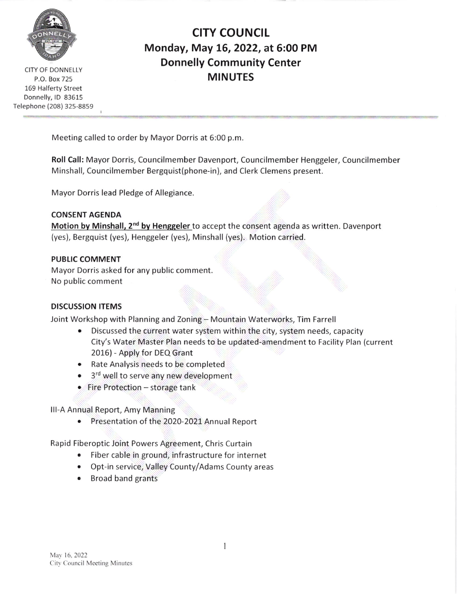

CITY OF DONNELLY P.O. Box 725 169 Halferty Street Donnelly, lD 83615 Telephone (208) 325-8859

# CITY COUNCIL Monday, May 15, 2022, at 5:00 PM Donnelly Community Center MINUTES

Meeting called to order by Mayor Dorris at 6:00 p.m.

Roll Call: Mayor Dorris, Councilmember Davenport, Councilmember Henggeler, Councilmember Minshall, Councilmember Bergquist(phone-in), and Clerk Clemens present.

Mayor Dorris lead Pledge of Allegiance

CONSENT AGENDA Motion by Minshall, 2<sup>nd</sup> by Henggeler to accept the consent agenda as written. Davenport (yes), Bergquist (yes), Henggeler (yes), Minshall (yes). Motion carried.

### PUBLIC COMMENT

Mayor Dorris asked for any public comment No public comment

## DISCUSSION ITEMS

Joint Workshop with Planning and Zoning - Mountain Waterworks, Tim Farrell

- Discussed the current water system within the city, system needs, capacity City's Water Master Plan needs to be updated-amendment to Facility Plan (current 2016) - Apply for DEQ Grant
- . Rate Analysis needs to be completed
- 3<sup>rd</sup> well to serve any new development
- Fire Protection storage tank
- lll-A Annual Report, Amy Manning
	- . Presentation of the 2020-2021 Annual Report

Rapid Fiberoptic Joint Powers Agreement, Chris Curtain

- Fiber cable in ground, infrastructure for internet
- . Opt-in service, Valley County/Adams County areas
- Broad band grants